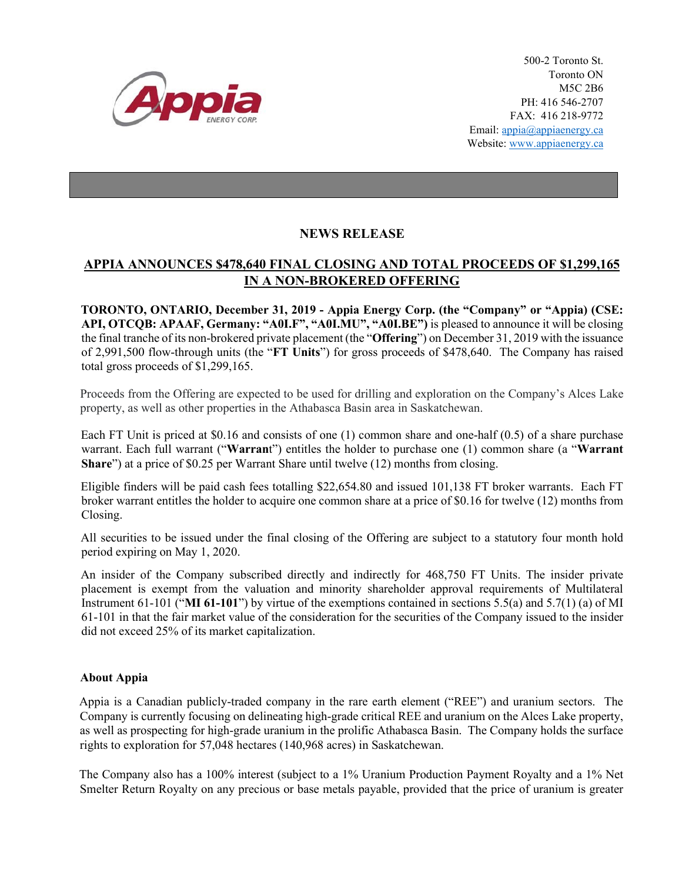

500-2 Toronto St. Toronto ON M5C 2B6 PH: 416 546-2707 FAX: 416 218-9772 Email: appia@appiaenergy.ca Website: www.appiaenergy.ca

## **NEWS RELEASE**

## **APPIA ANNOUNCES \$478,640 FINAL CLOSING AND TOTAL PROCEEDS OF \$1,299,165 IN A NON-BROKERED OFFERING**

**TORONTO, ONTARIO, December 31, 2019 - Appia Energy Corp. (the "Company" or "Appia) (CSE: API, OTCQB: APAAF, Germany: "A0I.F", "A0I.MU", "A0I.BE")** is pleased to announce it will be closing the final tranche of its non-brokered private placement (the "**Offering**") on December 31, 2019 with the issuance of 2,991,500 flow-through units (the "**FT Units**") for gross proceeds of \$478,640. The Company has raised total gross proceeds of \$1,299,165.

Proceeds from the Offering are expected to be used for drilling and exploration on the Company's Alces Lake property, as well as other properties in the Athabasca Basin area in Saskatchewan.

Each FT Unit is priced at \$0.16 and consists of one (1) common share and one-half (0.5) of a share purchase warrant. Each full warrant ("**Warran**t") entitles the holder to purchase one (1) common share (a "**Warrant Share**") at a price of \$0.25 per Warrant Share until twelve (12) months from closing.

Eligible finders will be paid cash fees totalling \$22,654.80 and issued 101,138 FT broker warrants. Each FT broker warrant entitles the holder to acquire one common share at a price of \$0.16 for twelve (12) months from Closing.

All securities to be issued under the final closing of the Offering are subject to a statutory four month hold period expiring on May 1, 2020.

An insider of the Company subscribed directly and indirectly for 468,750 FT Units. The insider private placement is exempt from the valuation and minority shareholder approval requirements of Multilateral Instrument 61-101 ("**MI 61-101**") by virtue of the exemptions contained in sections 5.5(a) and 5.7(1) (a) of MI 61-101 in that the fair market value of the consideration for the securities of the Company issued to the insider did not exceed 25% of its market capitalization.

## **About Appia**

Appia is a Canadian publicly-traded company in the rare earth element ("REE") and uranium sectors. The Company is currently focusing on delineating high-grade critical REE and uranium on the Alces Lake property, as well as prospecting for high-grade uranium in the prolific Athabasca Basin. The Company holds the surface rights to exploration for 57,048 hectares (140,968 acres) in Saskatchewan.

The Company also has a 100% interest (subject to a 1% Uranium Production Payment Royalty and a 1% Net Smelter Return Royalty on any precious or base metals payable, provided that the price of uranium is greater